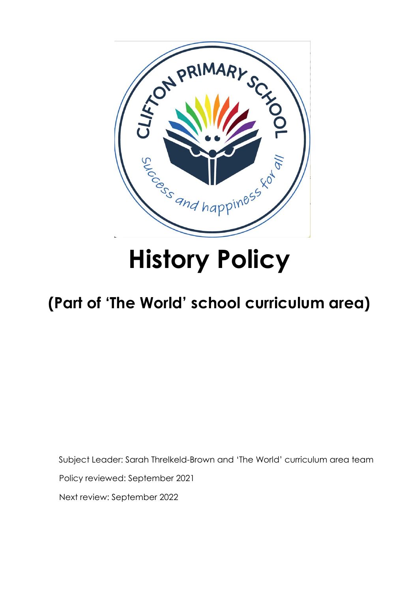

# **History Policy**

# **(Part of 'The World' school curriculum area)**

Subject Leader: Sarah Threlkeld-Brown and 'The World' curriculum area team

Policy reviewed: September 2021

Next review: September 2022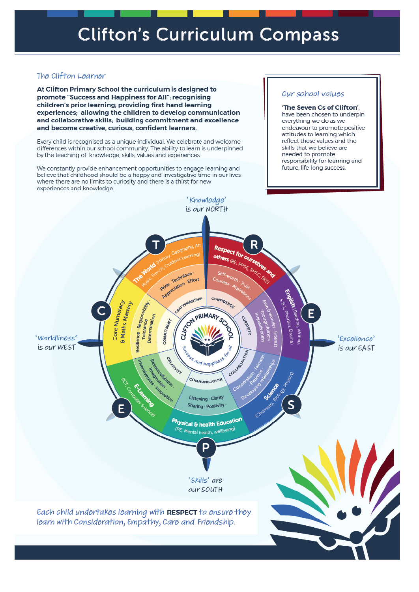# The Clifton Learner

At Clifton Primary School the curriculum is designed to promote "Success and Happiness for All": recognising children's prior learning; providing first hand learning experiences; allowing the children to develop communication and collaborative skills; building commitment and excellence and become creative, curious, confident learners.

Every child is recognised as a unique individual. We celebrate and welcome differences within our school community. The ability to learn is underpinned by the teaching of knowledge, skills, values and experiences.

We constantly provide enhancement opportunities to engage learning and believe that childhood should be a happy and investigative time in our lives where there are no limits to curiosity and there is a thirst for new experiences and knowledge.

## Our school values

'The Seven Cs of Clifton'. have been chosen to underpin everything we do as we endeavour to promote positive attitudes to learning which reflect these values and the skills that we believe are needed to promote responsibility for learning and future, life-long success.

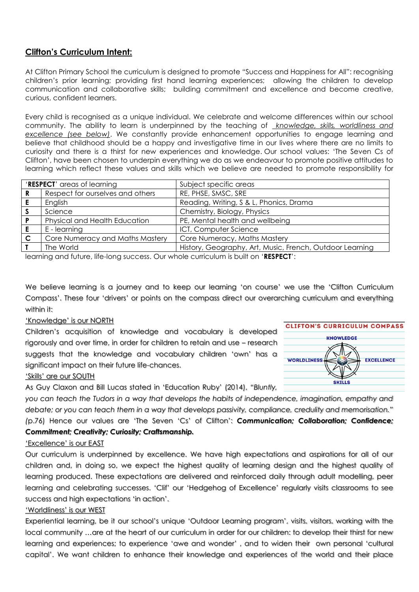# **Clifton's Curriculum Intent:**

At Clifton Primary School the curriculum is designed to promote "Success and Happiness for All": recognising children's prior learning; providing first hand learning experiences; allowing the children to develop communication and collaborative skills; building commitment and excellence and become creative, curious, confident learners.

Every child is recognised as a unique individual. We celebrate and welcome differences within our school community. The ability to learn is underpinned by the teaching of *knowledge, skills, worldliness and excellence (see below)*. We constantly provide enhancement opportunities to engage learning and believe that childhood should be a happy and investigative time in our lives where there are no limits to curiosity and there is a thirst for new experiences and knowledge. Our school values: 'The Seven Cs of Clifton', have been chosen to underpin everything we do as we endeavour to promote positive attitudes to learning which reflect these values and skills which we believe are needed to promote responsibility for

| 'RESPECT' areas of learning |                                  | Subject specific areas                                   |
|-----------------------------|----------------------------------|----------------------------------------------------------|
|                             | Respect for ourselves and others | RE, PHSE, SMSC, SRE                                      |
|                             | English                          | Reading, Writing, S & L, Phonics, Drama                  |
|                             | Science                          | Chemistry, Biology, Physics                              |
|                             | Physical and Health Education    | PE, Mental health and wellbeing                          |
|                             | E - learning                     | ICT, Computer Science                                    |
| - C                         | Core Numeracy and Maths Mastery  | Core Numeracy, Maths Mastery                             |
|                             | The World                        | History, Geography, Art, Music, French, Outdoor Learning |

learning and future, life-long success. Our whole curriculum is built on '**RESPECT**':

We believe learning is a journey and to keep our learning 'on course' we use the 'Clifton Curriculum Compass'. These four 'drivers' or points on the compass direct our overarching curriculum and everything within it:

#### 'Knowledge' is our NORTH

Children's acquisition of knowledge and vocabulary is developed rigorously and over time, in order for children to retain and use – research suggests that the knowledge and vocabulary children 'own' has a significant impact on their future life-chances.



#### 'Skills' are our SOUTH

As Guy Claxon and Bill Lucas stated in 'Education Ruby' (2014), *"Bluntly,* 

*you can teach the Tudors in a way that develops the habits of independence, imagination, empathy and debate; or you can teach them in a way that develops passivity, compliance, credulity and memorisation." (*p.76) Hence our values are 'The Seven 'Cs' of Clifton': *Communication; Collaboration; Confidence; Commitment; Creativity; Curiosity; Craftsmanship.*

#### 'Excellence' is our EAST

Our curriculum is underpinned by excellence. We have high expectations and aspirations for all of our children and, in doing so, we expect the highest quality of learning design and the highest quality of learning produced. These expectations are delivered and reinforced daily through adult modelling, peer learning and celebrating successes. 'Clif' our 'Hedgehog of Excellence' regularly visits classrooms to see success and high expectations 'in action'.

#### 'Worldliness' is our WEST

Experiential learning, be it our school's unique 'Outdoor Learning program', visits, visitors, working with the local community …are at the heart of our curriculum in order for our children: to develop their thirst for new learning and experiences; to experience 'awe and wonder' , and to widen their own personal 'cultural capital'. We want children to enhance their knowledge and experiences of the world and their place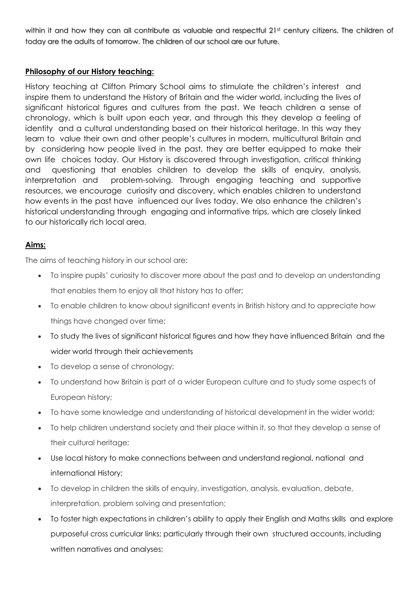within it and how they can all contribute as valuable and respectful 21st century citizens. The children of today are the adults of tomorrow. The children of our school are our future.

# **Philosophy of our History teaching:**

History teaching at Clifton Primary School aims to stimulate the children's interest and inspire them to understand the History of Britain and the wider world, including the lives of significant historical figures and cultures from the past. We teach children a sense of chronology, which is built upon each year, and through this they develop a feeling of identity and a cultural understanding based on their historical heritage. In this way they learn to value their own and other people's cultures in modern, multicultural Britain and by considering how people lived in the past, they are better equipped to make their own life choices today. Our History is discovered through investigation, critical thinking and questioning that enables children to develop the skills of enquiry, analysis, interpretation and problem-solving. Through engaging teaching and supportive resources, we encourage curiosity and discovery, which enables children to understand how events in the past have influenced our lives today. We also enhance the children's historical understanding through engaging and informative trips, which are closely linked to our historically rich local area.

# **Aims:**

The aims of teaching history in our school are:

- To inspire pupils' curiosity to discover more about the past and to develop an understanding that enables them to enjoy all that history has to offer;
- To enable children to know about significant events in British history and to appreciate how things have changed over time;
- To study the lives of significant historical figures and how they have influenced Britain and the wider world through their achievements
- To develop a sense of chronology;
- To understand how Britain is part of a wider European culture and to study some aspects of European history;
- To have some knowledge and understanding of historical development in the wider world;
- To help children understand society and their place within it, so that they develop a sense of their cultural heritage;
- Use local history to make connections between and understand regional, national and international History;
- To develop in children the skills of enquiry, investigation, analysis, evaluation, debate, interpretation, problem solving and presentation;
- To foster high expectations in children's ability to apply their English and Maths skills and explore purposeful cross curricular links; particularly through their own structured accounts, including written narratives and analyses;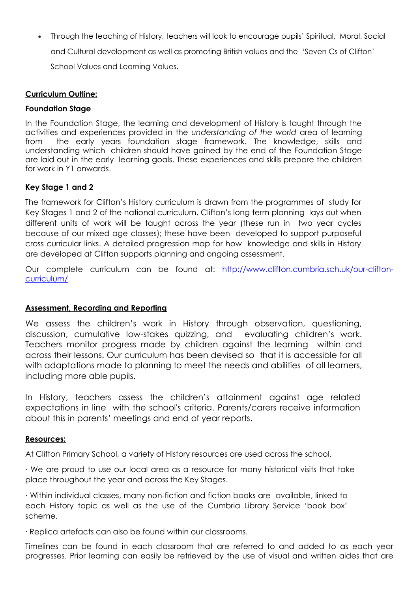Through the teaching of History, teachers will look to encourage pupils' Spiritual, Moral, Social and Cultural development as well as promoting British values and the 'Seven Cs of Clifton' School Values and Learning Values.

### **Curriculum Outline:**

#### **Foundation Stage**

In the Foundation Stage, the learning and development of History is taught through the activities and experiences provided in the *understanding of the world* area of learning from the early years foundation stage framework. The knowledge, skills and understanding which children should have gained by the end of the Foundation Stage are laid out in the early learning goals. These experiences and skills prepare the children for work in Y1 onwards.

# **Key Stage 1 and 2**

The framework for Clifton's History curriculum is drawn from the programmes of study for Key Stages 1 and 2 of the national curriculum. Clifton's long term planning lays out when different units of work will be taught across the year (these run in two year cycles because of our mixed age classes); these have been developed to support purposeful cross curricular links. A detailed progression map for how knowledge and skills in History are developed at Clifton supports planning and ongoing assessment.

Our complete curriculum can be found at: [http://www.clifton.cumbria.sch.uk/our-clifton](http://www.clifton.cumbria.sch.uk/our-clifton-curriculum/)[curriculum/](http://www.clifton.cumbria.sch.uk/our-clifton-curriculum/)

#### **Assessment, Recording and Reporting**

We assess the children's work in History through observation, questioning, discussion, cumulative low-stakes quizzing, and evaluating children's work. Teachers monitor progress made by children against the learning within and across their lessons. Our curriculum has been devised so that it is accessible for all with adaptations made to planning to meet the needs and abilities of all learners, including more able pupils.

In History, teachers assess the children's attainment against age related expectations in line with the school's criteria. Parents/carers receive information about this in parents' meetings and end of year reports.

#### **Resources:**

At Clifton Primary School, a variety of History resources are used across the school.

∙ We are proud to use our local area as a resource for many historical visits that take place throughout the year and across the Key Stages.

∙ Within individual classes, many non-fiction and fiction books are available, linked to each History topic as well as the use of the Cumbria Library Service 'book box' scheme.

∙ Replica artefacts can also be found within our classrooms.

Timelines can be found in each classroom that are referred to and added to as each year progresses. Prior learning can easily be retrieved by the use of visual and written aides that are